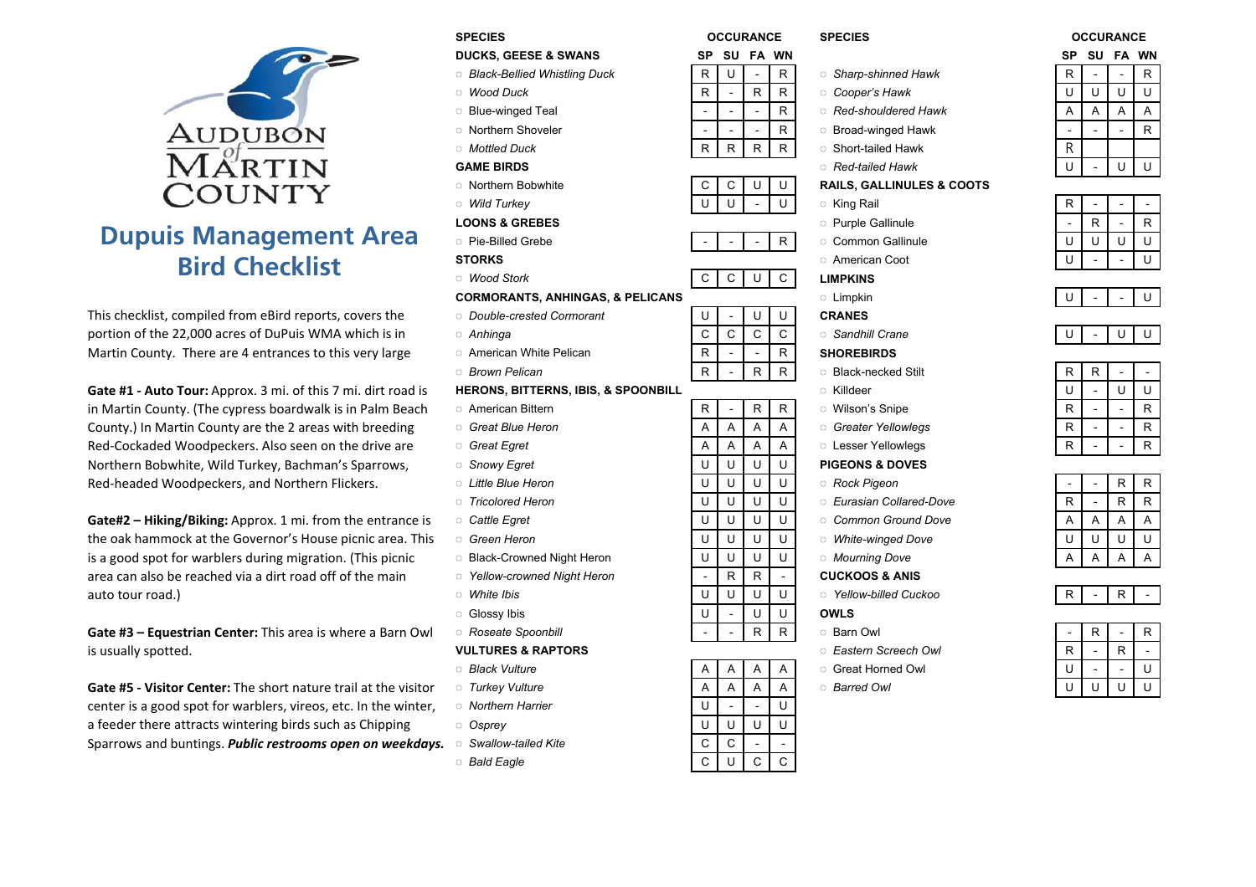

# Dupuis Management AreaBird Checklist

This checklist, compiled from eBird reports, covers the portion of the 22,000 acres of DuPuis WMA which is in Martin County. There are 4 entrances to this very large

Gate #1 - Auto Tour: Approx. 3 mi. of this 7 mi. dirt road isin Martin County. (The cypress boardwalk is in Palm BeachCounty.) In Martin County are the 2 areas with breedingRed-Cockaded Woodpeckers. Also seen on the drive areNorthern Bobwhite, Wild Turkey, Bachman's Sparrows,Red-headed Woodpeckers, and Northern Flickers.

Gate#2 – Hiking/Biking: Approx. 1 mi. from the entrance isthe oak hammock at the Governor's House picnic area. Thisis a good spot for warblers during migration. (This picnicarea can also be reached via a dirt road off of the mainauto tour road.)) and the contract of the United States of White Ibis (1990) and the United States of White Ibis (1990) and the  $\sim$ 

Gate #3 – Equestrian Center: This area is where a Barn Owlis usually spotted.

Gate #5 - Visitor Center: The short nature trail at the visitorcenter is a good spot for warblers, vireos, etc. In the winter,a feeder there attracts wintering birds such as ChippingSparrows and buntings. **Public restrooms open on weekdays.**  $\circ$  Swallow-tailed Kite

- **SPECIES**  OCCURANCE SPECIES OCCURANCE DUCKS, GEESE & SWANS SP SU FA WN SP SU FA WN ◌ Black-Bellied Whistling Duck◌ Wood Duck $k$  R R R Cooper's Hawk U U U U U U ◌ Blue-winged Teal - - - <sup>R</sup> ◌ Red-shouldered Hawk <sup>A</sup> <sup>A</sup> <sup>A</sup> <sup>A</sup> ◌ Northern Shoveler - - - <sup>R</sup> ◌ Broad-winged Hawk - - - <sup>R</sup> ◌ Mottled DuckGAME BIRDS $S$  Red-tailed Hawk U - U U U ◌ Northern Bobwhite <sup>C</sup> <sup>C</sup> <sup>U</sup> <sup>U</sup> RAILS, GALLINULES & COOTS ◌ Wild TurkeyLOONS & GREBES◌ Pie-Billed Grebe - - - <sup>R</sup> ◌ Common Gallinule <sup>U</sup> <sup>U</sup> <sup>U</sup> <sup>U</sup> **STORKS**  ◌ American Coot <sup>U</sup> - - <sup>U</sup> ◌ Wood Storkk C C U C LIMPKINS CORMORANTS, ANHINGAS, & PELICANS◌ Double-crested Cormorant <sup>U</sup> - <sup>U</sup> <sup>U</sup> CRANES ◌ Anhinga <sup>C</sup> <sup>C</sup> <sup>C</sup> <sup>C</sup> ◌ Sandhill Crane <sup>U</sup> - <sup>U</sup> <sup>U</sup> ○ American White Pelican <br>○ Brown Pelican R - R R → Black-necked Stilt ◌ Brown Pelican HERONS, BITTERNS, IBIS, & SPOONBILL ◌ American Bittern <sup>R</sup> - <sup>R</sup> <sup>R</sup> ◌ Wilson's Snipe <sup>R</sup> - - <sup>R</sup> g o Great Blue Heron **A A A A A A A A** Greater Yellowlegs **R** A R - R e Great Egret A A A A A C Lesser Yellowlegs R R - R ○ Snowy Egret CONSTRIBUTE U U U U U PIGEONS & DOVES<br>○ Little Blue Heron CONSTRIBUTE U U U U U O Rock Pigeon ◌ Little Blue Heron◌ Tricolored Heron ◌ Cattle Egret <sup>U</sup> <sup>U</sup> <sup>U</sup> <sup>U</sup> ◌ Common Ground Dove <sup>A</sup> <sup>A</sup> <sup>A</sup> <sup>A</sup> ◌ Green Heron○ Black-Crowned Night Heron <br>○ Yellow-crowned Night Heron <br>○ R R R - CUCKOOS & ANIS ◌ Yellow-crowned Night Heron - <sup>R</sup> <sup>R</sup> - CUCKOOS & ANIS <sup>U</sup> <sup>U</sup> <sup>U</sup> <sup>U</sup> ◌ Yellow-billed Cuckoo <sup>R</sup> - <sup>R</sup> - ◌ Glossy Ibis <sup>U</sup> - <sup>U</sup> <sup>U</sup> OWLS ◌ Roseate Spoonbill - - <sup>R</sup> <sup>R</sup> ◌ Barn Owl - <sup>R</sup> - <sup>R</sup> VULTURES & RAPTORS**Black Vulture**  ◌ Turkey Vulture○ Northern Harrier U - - U<br>○ Osprev U U U U U U ◌ Osprey <sup>U</sup> <sup>U</sup> <sup>U</sup> <sup>U</sup>
	- e C C -
	- **Bald Eagle** e C U C C C

- $R \begin{array}{|c|c|c|c|c|}\n\hline\nR & & R & R \\
\hline\nR & & R & R \\
\hline\n\end{array}$   $\hbox{\hskip 1pt S}$  Sharp-shinned Hawk
	-
	-
	-
	-
- $R \mid R \mid R \mid R$  Short-tailed Hawk<br>Red-tailed Hawk
	-

- 
- 
- 

- 
- -

- 
- 
- 
- 
- 

- 
- 
- 
- 
- 

- 
- ା *Eastern Screech Owl*<br>୍ Great Horned Owl
- 
- 

| S۲ | รบ | FА | wΝ |
|----|----|----|----|
| R  |    |    | R  |
| U  | U  | U  | U  |
| A  | A  | A  | A  |
|    |    |    | R  |
| R  |    |    |    |
| U  |    | U  | U  |

| opwritte     | ັ |   | U | <b>RAILS, GALLINULES &amp; COUTS</b> |   |   |   |
|--------------|---|---|---|--------------------------------------|---|---|---|
| v            |   |   |   | ○ King Rail                          | R |   |   |
| <b>REBES</b> |   |   |   | <b>Purple Gallinule</b>              |   | R | R |
| <b>Grebe</b> | - | - | R | <b>Common Gallinule</b>              |   |   |   |
|              |   |   |   | ○ American Coot                      |   |   |   |

| s |            | . .                                                                                                             |  | - | - |  |
|---|------------|-----------------------------------------------------------------------------------------------------------------|--|---|---|--|
|   | . .<br>- - | the contract of the contract of the contract of the contract of the contract of the contract of the contract of |  |   |   |  |

|--|

| n                                  | R | R | R | <b>Black-necked Stilt</b><br>O. |   | D |   |
|------------------------------------|---|---|---|---------------------------------|---|---|---|
| <b>ERNS, IBIS, &amp; SPOONBILL</b> |   |   |   | Killdeer<br>O.                  |   |   |   |
| ern                                | R | R | R | Wilson's Snipe<br>$\circ$       | R |   | R |
| eron                               | Α |   |   | <b>Greater Yellowlegs</b><br>0. | ₽ |   | R |
|                                    | Α |   | A | <b>Lesser Yellowlegs</b>        | R |   | D |

| leron           |  |  | Rock Pigeon              |   | R | R |
|-----------------|--|--|--------------------------|---|---|---|
| leron           |  |  | Eurasian Collared-Dove   | R | R |   |
|                 |  |  | Common Ground Dove       | A | А |   |
| n               |  |  | <b>White-winged Dove</b> |   |   |   |
| ned Night Heron |  |  | <b>Mourning Dove</b>     | Α |   |   |
|                 |  |  |                          |   |   |   |

|--|

| oonbill        | $\overline{\phantom{0}}$ | R | D | Barn Owl              |   | R |   | R |
|----------------|--------------------------|---|---|-----------------------|---|---|---|---|
| <b>RAPTORS</b> |                          |   |   | ○ Eastern Screech Owl | D |   | R |   |
| е              | A                        |   |   | Great Horned Owl      |   |   |   |   |
| ıre            | A                        |   | A | <b>Barred Owl</b>     |   |   |   |   |
|                |                          |   |   |                       |   |   |   |   |

| A | A | A | A | <b>Lesser Yellowlegs</b>   |
|---|---|---|---|----------------------------|
| U | U | U | U | <b>PIGEONS &amp; DOVES</b> |
| U | U | U | U | ः Rock Pigeon              |
| U | U | U | U | ം Eurasian Collared-Dove   |
| U | U | U | U | ം Common Ground Dove       |
| U | U | U | U | <b>Mhite-winged Dove</b>   |
| U | U | U | U | <b>Mourning Dove</b>       |
|   | R | R |   | <b>CUCKOOS &amp; ANIS</b>  |
| U | U | U | U | െ Yellow-billed Cuckoo     |
| U |   |   |   | OWLS                       |